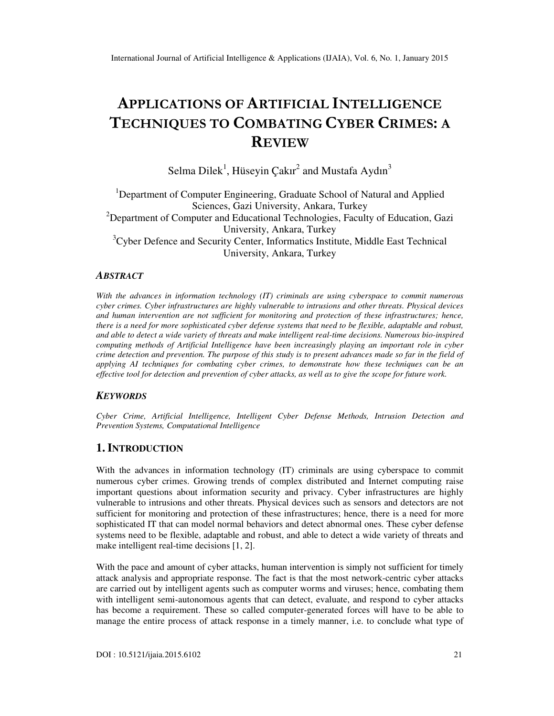# APPLICATIONS OF ARTIFICIAL INTELLIGENCE TECHNIQUES TO COMBATING CYBER CRIMES: A **REVIEW**

Selma Dilek<sup>1</sup>, Hüseyin Çakır<sup>2</sup> and Mustafa Aydın<sup>3</sup>

<sup>1</sup>Department of Computer Engineering, Graduate School of Natural and Applied Sciences, Gazi University, Ankara, Turkey  $2$ Department of Computer and Educational Technologies, Faculty of Education, Gazi University, Ankara, Turkey <sup>3</sup>Cyber Defence and Security Center, Informatics Institute, Middle East Technical University, Ankara, Turkey

#### *ABSTRACT*

*With the advances in information technology (IT) criminals are using cyberspace to commit numerous cyber crimes. Cyber infrastructures are highly vulnerable to intrusions and other threats. Physical devices and human intervention are not sufficient for monitoring and protection of these infrastructures; hence, there is a need for more sophisticated cyber defense systems that need to be flexible, adaptable and robust, and able to detect a wide variety of threats and make intelligent real-time decisions. Numerous bio-inspired computing methods of Artificial Intelligence have been increasingly playing an important role in cyber crime detection and prevention. The purpose of this study is to present advances made so far in the field of applying AI techniques for combating cyber crimes, to demonstrate how these techniques can be an effective tool for detection and prevention of cyber attacks, as well as to give the scope for future work.* 

#### *KEYWORDS*

*Cyber Crime, Artificial Intelligence, Intelligent Cyber Defense Methods, Intrusion Detection and Prevention Systems, Computational Intelligence* 

#### **1. INTRODUCTION**

With the advances in information technology (IT) criminals are using cyberspace to commit numerous cyber crimes. Growing trends of complex distributed and Internet computing raise important questions about information security and privacy. Cyber infrastructures are highly vulnerable to intrusions and other threats. Physical devices such as sensors and detectors are not sufficient for monitoring and protection of these infrastructures; hence, there is a need for more sophisticated IT that can model normal behaviors and detect abnormal ones. These cyber defense systems need to be flexible, adaptable and robust, and able to detect a wide variety of threats and make intelligent real-time decisions [1, 2].

With the pace and amount of cyber attacks, human intervention is simply not sufficient for timely attack analysis and appropriate response. The fact is that the most network-centric cyber attacks are carried out by intelligent agents such as computer worms and viruses; hence, combating them with intelligent semi-autonomous agents that can detect, evaluate, and respond to cyber attacks has become a requirement. These so called computer-generated forces will have to be able to manage the entire process of attack response in a timely manner, i.e. to conclude what type of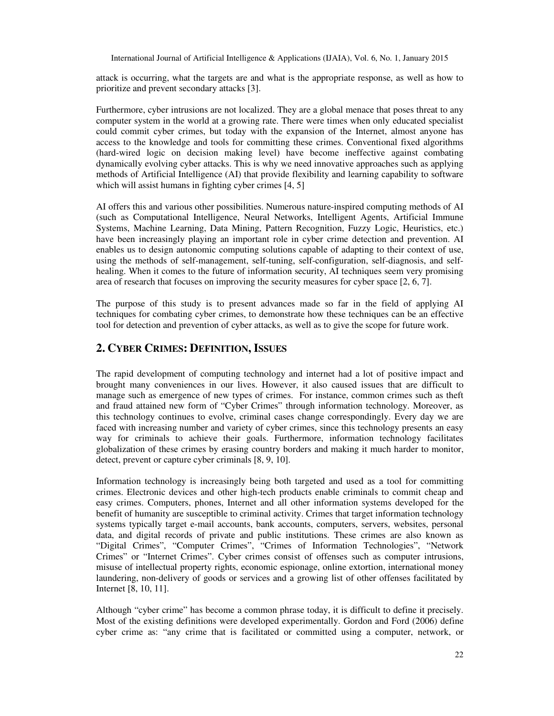attack is occurring, what the targets are and what is the appropriate response, as well as how to prioritize and prevent secondary attacks [3].

Furthermore, cyber intrusions are not localized. They are a global menace that poses threat to any computer system in the world at a growing rate. There were times when only educated specialist could commit cyber crimes, but today with the expansion of the Internet, almost anyone has access to the knowledge and tools for committing these crimes. Conventional fixed algorithms (hard-wired logic on decision making level) have become ineffective against combating dynamically evolving cyber attacks. This is why we need innovative approaches such as applying methods of Artificial Intelligence (AI) that provide flexibility and learning capability to software which will assist humans in fighting cyber crimes [4, 5]

AI offers this and various other possibilities. Numerous nature-inspired computing methods of AI (such as Computational Intelligence, Neural Networks, Intelligent Agents, Artificial Immune Systems, Machine Learning, Data Mining, Pattern Recognition, Fuzzy Logic, Heuristics, etc.) have been increasingly playing an important role in cyber crime detection and prevention. AI enables us to design autonomic computing solutions capable of adapting to their context of use, using the methods of self-management, self-tuning, self-configuration, self-diagnosis, and selfhealing. When it comes to the future of information security, AI techniques seem very promising area of research that focuses on improving the security measures for cyber space [2, 6, 7].

The purpose of this study is to present advances made so far in the field of applying AI techniques for combating cyber crimes, to demonstrate how these techniques can be an effective tool for detection and prevention of cyber attacks, as well as to give the scope for future work.

## **2. CYBER CRIMES: DEFINITION, ISSUES**

The rapid development of computing technology and internet had a lot of positive impact and brought many conveniences in our lives. However, it also caused issues that are difficult to manage such as emergence of new types of crimes. For instance, common crimes such as theft and fraud attained new form of "Cyber Crimes" through information technology. Moreover, as this technology continues to evolve, criminal cases change correspondingly. Every day we are faced with increasing number and variety of cyber crimes, since this technology presents an easy way for criminals to achieve their goals. Furthermore, information technology facilitates globalization of these crimes by erasing country borders and making it much harder to monitor, detect, prevent or capture cyber criminals [8, 9, 10].

Information technology is increasingly being both targeted and used as a tool for committing crimes. Electronic devices and other high-tech products enable criminals to commit cheap and easy crimes. Computers, phones, Internet and all other information systems developed for the benefit of humanity are susceptible to criminal activity. Crimes that target information technology systems typically target e-mail accounts, bank accounts, computers, servers, websites, personal data, and digital records of private and public institutions. These crimes are also known as "Digital Crimes", "Computer Crimes", "Crimes of Information Technologies", "Network Crimes" or "Internet Crimes". Cyber crimes consist of offenses such as computer intrusions, misuse of intellectual property rights, economic espionage, online extortion, international money laundering, non-delivery of goods or services and a growing list of other offenses facilitated by Internet [8, 10, 11].

Although "cyber crime" has become a common phrase today, it is difficult to define it precisely. Most of the existing definitions were developed experimentally. Gordon and Ford (2006) define cyber crime as: "any crime that is facilitated or committed using a computer, network, or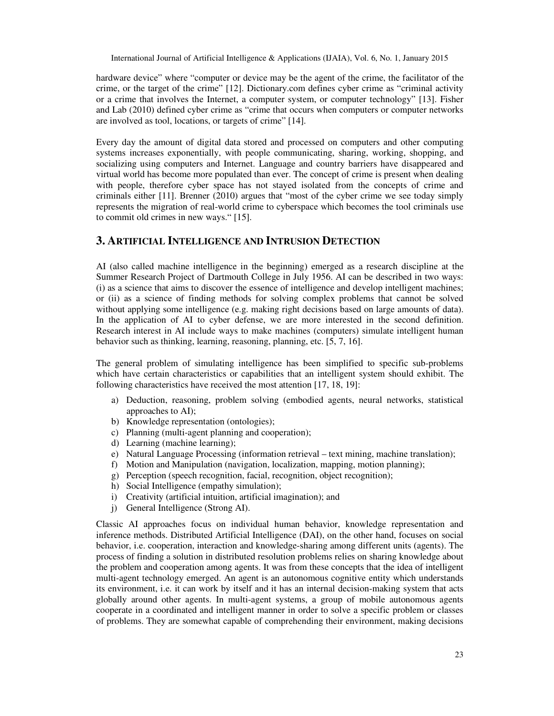hardware device" where "computer or device may be the agent of the crime, the facilitator of the crime, or the target of the crime" [12]. Dictionary.com defines cyber crime as "criminal activity or a crime that involves the Internet, a computer system, or computer technology" [13]. Fisher and Lab (2010) defined cyber crime as "crime that occurs when computers or computer networks are involved as tool, locations, or targets of crime" [14].

Every day the amount of digital data stored and processed on computers and other computing systems increases exponentially, with people communicating, sharing, working, shopping, and socializing using computers and Internet. Language and country barriers have disappeared and virtual world has become more populated than ever. The concept of crime is present when dealing with people, therefore cyber space has not stayed isolated from the concepts of crime and criminals either [11]. Brenner (2010) argues that "most of the cyber crime we see today simply represents the migration of real-world crime to cyberspace which becomes the tool criminals use to commit old crimes in new ways." [15].

#### **3. ARTIFICIAL INTELLIGENCE AND INTRUSION DETECTION**

AI (also called machine intelligence in the beginning) emerged as a research discipline at the Summer Research Project of Dartmouth College in July 1956. AI can be described in two ways: (i) as a science that aims to discover the essence of intelligence and develop intelligent machines; or (ii) as a science of finding methods for solving complex problems that cannot be solved without applying some intelligence (e.g. making right decisions based on large amounts of data). In the application of AI to cyber defense, we are more interested in the second definition. Research interest in AI include ways to make machines (computers) simulate intelligent human behavior such as thinking, learning, reasoning, planning, etc. [5, 7, 16].

The general problem of simulating intelligence has been simplified to specific sub-problems which have certain characteristics or capabilities that an intelligent system should exhibit. The following characteristics have received the most attention [17, 18, 19]:

- a) Deduction, reasoning, problem solving (embodied agents, neural networks, statistical approaches to AI);
- b) Knowledge representation (ontologies);
- c) Planning (multi-agent planning and cooperation);
- d) Learning (machine learning);
- e) Natural Language Processing (information retrieval text mining, machine translation);
- f) Motion and Manipulation (navigation, localization, mapping, motion planning);
- g) Perception (speech recognition, facial, recognition, object recognition);
- h) Social Intelligence (empathy simulation);
- i) Creativity (artificial intuition, artificial imagination); and
- j) General Intelligence (Strong AI).

Classic AI approaches focus on individual human behavior, knowledge representation and inference methods. Distributed Artificial Intelligence (DAI), on the other hand, focuses on social behavior, i.e. cooperation, interaction and knowledge-sharing among different units (agents). The process of finding a solution in distributed resolution problems relies on sharing knowledge about the problem and cooperation among agents. It was from these concepts that the idea of intelligent multi-agent technology emerged. An agent is an autonomous cognitive entity which understands its environment, i.e. it can work by itself and it has an internal decision-making system that acts globally around other agents. In multi-agent systems, a group of mobile autonomous agents cooperate in a coordinated and intelligent manner in order to solve a specific problem or classes of problems. They are somewhat capable of comprehending their environment, making decisions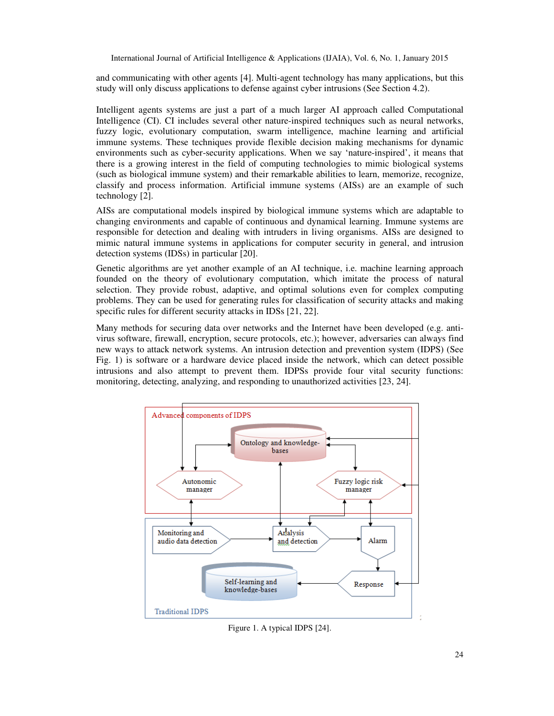and communicating with other agents [4]. Multi-agent technology has many applications, but this study will only discuss applications to defense against cyber intrusions (See Section 4.2).

Intelligent agents systems are just a part of a much larger AI approach called Computational Intelligence (CI). CI includes several other nature-inspired techniques such as neural networks, fuzzy logic, evolutionary computation, swarm intelligence, machine learning and artificial immune systems. These techniques provide flexible decision making mechanisms for dynamic environments such as cyber-security applications. When we say 'nature-inspired', it means that there is a growing interest in the field of computing technologies to mimic biological systems (such as biological immune system) and their remarkable abilities to learn, memorize, recognize, classify and process information. Artificial immune systems (AISs) are an example of such technology [2].

AISs are computational models inspired by biological immune systems which are adaptable to changing environments and capable of continuous and dynamical learning. Immune systems are responsible for detection and dealing with intruders in living organisms. AISs are designed to mimic natural immune systems in applications for computer security in general, and intrusion detection systems (IDSs) in particular [20].

Genetic algorithms are yet another example of an AI technique, i.e. machine learning approach founded on the theory of evolutionary computation, which imitate the process of natural selection. They provide robust, adaptive, and optimal solutions even for complex computing problems. They can be used for generating rules for classification of security attacks and making specific rules for different security attacks in IDSs [21, 22].

Many methods for securing data over networks and the Internet have been developed (e.g. antivirus software, firewall, encryption, secure protocols, etc.); however, adversaries can always find new ways to attack network systems. An intrusion detection and prevention system (IDPS) (See Fig. 1) is software or a hardware device placed inside the network, which can detect possible intrusions and also attempt to prevent them. IDPSs provide four vital security functions: monitoring, detecting, analyzing, and responding to unauthorized activities [23, 24].



Figure 1. A typical IDPS [24].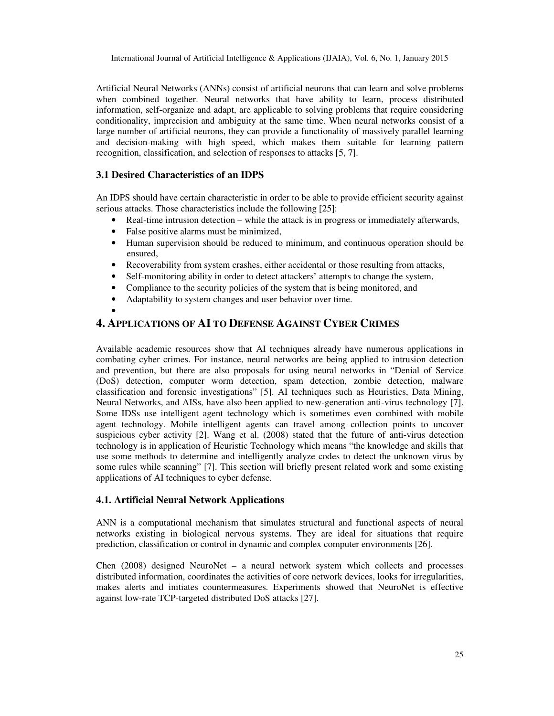Artificial Neural Networks (ANNs) consist of artificial neurons that can learn and solve problems when combined together. Neural networks that have ability to learn, process distributed information, self-organize and adapt, are applicable to solving problems that require considering conditionality, imprecision and ambiguity at the same time. When neural networks consist of a large number of artificial neurons, they can provide a functionality of massively parallel learning and decision-making with high speed, which makes them suitable for learning pattern recognition, classification, and selection of responses to attacks [5, 7].

### **3.1 Desired Characteristics of an IDPS**

An IDPS should have certain characteristic in order to be able to provide efficient security against serious attacks. Those characteristics include the following [25]:

- Real-time intrusion detection while the attack is in progress or immediately afterwards,
- False positive alarms must be minimized,
- Human supervision should be reduced to minimum, and continuous operation should be ensured,
- Recoverability from system crashes, either accidental or those resulting from attacks,
- Self-monitoring ability in order to detect attackers' attempts to change the system,
- Compliance to the security policies of the system that is being monitored, and
- Adaptability to system changes and user behavior over time.
- •

## **4. APPLICATIONS OF AI TO DEFENSE AGAINST CYBER CRIMES**

Available academic resources show that AI techniques already have numerous applications in combating cyber crimes. For instance, neural networks are being applied to intrusion detection and prevention, but there are also proposals for using neural networks in "Denial of Service (DoS) detection, computer worm detection, spam detection, zombie detection, malware classification and forensic investigations" [5]. AI techniques such as Heuristics, Data Mining, Neural Networks, and AISs, have also been applied to new-generation anti-virus technology [7]. Some IDSs use intelligent agent technology which is sometimes even combined with mobile agent technology. Mobile intelligent agents can travel among collection points to uncover suspicious cyber activity [2]. Wang et al. (2008) stated that the future of anti-virus detection technology is in application of Heuristic Technology which means "the knowledge and skills that use some methods to determine and intelligently analyze codes to detect the unknown virus by some rules while scanning" [7]. This section will briefly present related work and some existing applications of AI techniques to cyber defense.

#### **4.1. Artificial Neural Network Applications**

ANN is a computational mechanism that simulates structural and functional aspects of neural networks existing in biological nervous systems. They are ideal for situations that require prediction, classification or control in dynamic and complex computer environments [26].

Chen (2008) designed NeuroNet – a neural network system which collects and processes distributed information, coordinates the activities of core network devices, looks for irregularities, makes alerts and initiates countermeasures. Experiments showed that NeuroNet is effective against low-rate TCP-targeted distributed DoS attacks [27].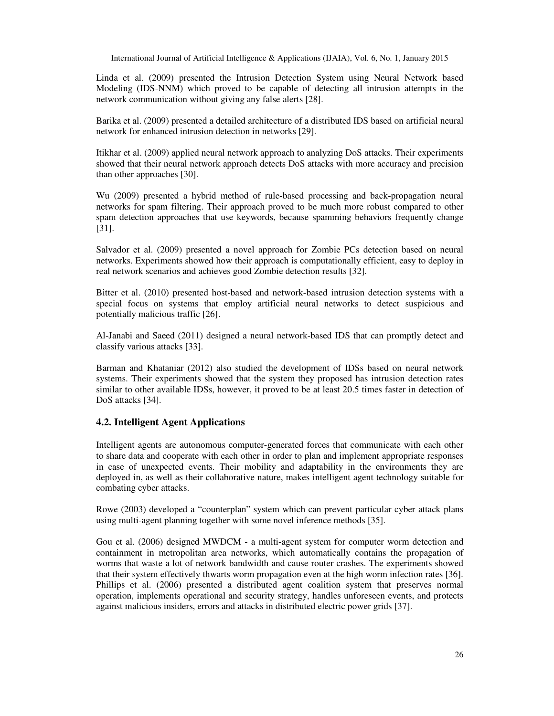Linda et al. (2009) presented the Intrusion Detection System using Neural Network based Modeling (IDS-NNM) which proved to be capable of detecting all intrusion attempts in the network communication without giving any false alerts [28].

Barika et al. (2009) presented a detailed architecture of a distributed IDS based on artificial neural network for enhanced intrusion detection in networks [29].

Itikhar et al. (2009) applied neural network approach to analyzing DoS attacks. Their experiments showed that their neural network approach detects DoS attacks with more accuracy and precision than other approaches [30].

Wu (2009) presented a hybrid method of rule-based processing and back-propagation neural networks for spam filtering. Their approach proved to be much more robust compared to other spam detection approaches that use keywords, because spamming behaviors frequently change [31].

Salvador et al. (2009) presented a novel approach for Zombie PCs detection based on neural networks. Experiments showed how their approach is computationally efficient, easy to deploy in real network scenarios and achieves good Zombie detection results [32].

Bitter et al. (2010) presented host-based and network-based intrusion detection systems with a special focus on systems that employ artificial neural networks to detect suspicious and potentially malicious traffic [26].

Al-Janabi and Saeed (2011) designed a neural network-based IDS that can promptly detect and classify various attacks [33].

Barman and Khataniar (2012) also studied the development of IDSs based on neural network systems. Their experiments showed that the system they proposed has intrusion detection rates similar to other available IDSs, however, it proved to be at least 20.5 times faster in detection of DoS attacks [34].

#### **4.2. Intelligent Agent Applications**

Intelligent agents are autonomous computer-generated forces that communicate with each other to share data and cooperate with each other in order to plan and implement appropriate responses in case of unexpected events. Their mobility and adaptability in the environments they are deployed in, as well as their collaborative nature, makes intelligent agent technology suitable for combating cyber attacks.

Rowe (2003) developed a "counterplan" system which can prevent particular cyber attack plans using multi-agent planning together with some novel inference methods [35].

Gou et al. (2006) designed MWDCM - a multi-agent system for computer worm detection and containment in metropolitan area networks, which automatically contains the propagation of worms that waste a lot of network bandwidth and cause router crashes. The experiments showed that their system effectively thwarts worm propagation even at the high worm infection rates [36]. Phillips et al. (2006) presented a distributed agent coalition system that preserves normal operation, implements operational and security strategy, handles unforeseen events, and protects against malicious insiders, errors and attacks in distributed electric power grids [37].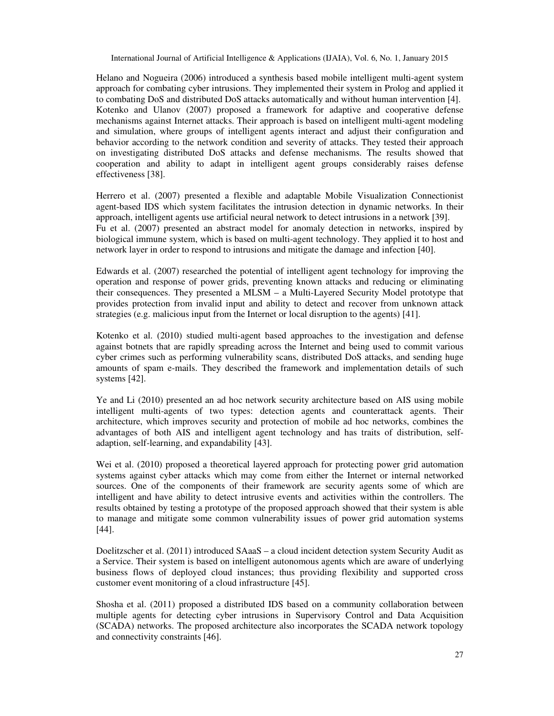Helano and Nogueira (2006) introduced a synthesis based mobile intelligent multi-agent system approach for combating cyber intrusions. They implemented their system in Prolog and applied it to combating DoS and distributed DoS attacks automatically and without human intervention [4]. Kotenko and Ulanov (2007) proposed a framework for adaptive and cooperative defense mechanisms against Internet attacks. Their approach is based on intelligent multi-agent modeling and simulation, where groups of intelligent agents interact and adjust their configuration and behavior according to the network condition and severity of attacks. They tested their approach on investigating distributed DoS attacks and defense mechanisms. The results showed that cooperation and ability to adapt in intelligent agent groups considerably raises defense effectiveness [38].

Herrero et al. (2007) presented a flexible and adaptable Mobile Visualization Connectionist agent-based IDS which system facilitates the intrusion detection in dynamic networks. In their approach, intelligent agents use artificial neural network to detect intrusions in a network [39]. Fu et al. (2007) presented an abstract model for anomaly detection in networks, inspired by biological immune system, which is based on multi-agent technology. They applied it to host and network layer in order to respond to intrusions and mitigate the damage and infection [40].

Edwards et al. (2007) researched the potential of intelligent agent technology for improving the operation and response of power grids, preventing known attacks and reducing or eliminating their consequences. They presented a MLSM – a Multi-Layered Security Model prototype that provides protection from invalid input and ability to detect and recover from unknown attack strategies (e.g. malicious input from the Internet or local disruption to the agents) [41].

Kotenko et al. (2010) studied multi-agent based approaches to the investigation and defense against botnets that are rapidly spreading across the Internet and being used to commit various cyber crimes such as performing vulnerability scans, distributed DoS attacks, and sending huge amounts of spam e-mails. They described the framework and implementation details of such systems [42].

Ye and Li (2010) presented an ad hoc network security architecture based on AIS using mobile intelligent multi-agents of two types: detection agents and counterattack agents. Their architecture, which improves security and protection of mobile ad hoc networks, combines the advantages of both AIS and intelligent agent technology and has traits of distribution, selfadaption, self-learning, and expandability [43].

Wei et al. (2010) proposed a theoretical layered approach for protecting power grid automation systems against cyber attacks which may come from either the Internet or internal networked sources. One of the components of their framework are security agents some of which are intelligent and have ability to detect intrusive events and activities within the controllers. The results obtained by testing a prototype of the proposed approach showed that their system is able to manage and mitigate some common vulnerability issues of power grid automation systems [44].

Doelitzscher et al. (2011) introduced SAaaS – a cloud incident detection system Security Audit as a Service. Their system is based on intelligent autonomous agents which are aware of underlying business flows of deployed cloud instances; thus providing flexibility and supported cross customer event monitoring of a cloud infrastructure [45].

Shosha et al. (2011) proposed a distributed IDS based on a community collaboration between multiple agents for detecting cyber intrusions in Supervisory Control and Data Acquisition (SCADA) networks. The proposed architecture also incorporates the SCADA network topology and connectivity constraints [46].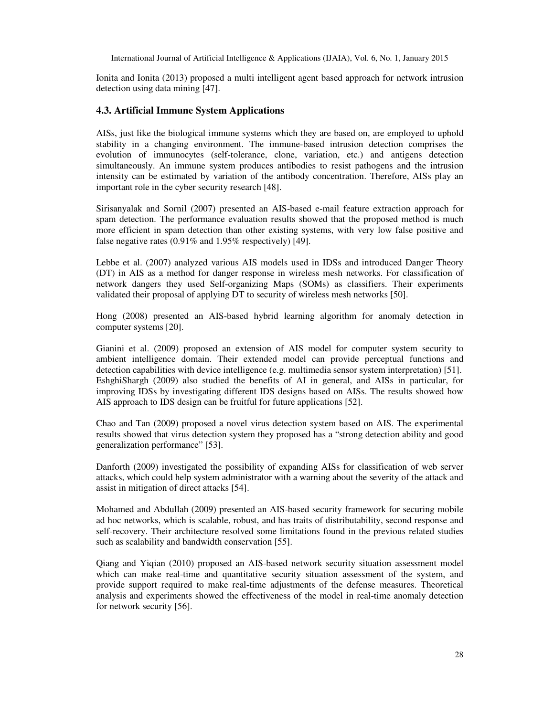Ionita and Ionita (2013) proposed a multi intelligent agent based approach for network intrusion detection using data mining [47].

#### **4.3. Artificial Immune System Applications**

AISs, just like the biological immune systems which they are based on, are employed to uphold stability in a changing environment. The immune-based intrusion detection comprises the evolution of immunocytes (self-tolerance, clone, variation, etc.) and antigens detection simultaneously. An immune system produces antibodies to resist pathogens and the intrusion intensity can be estimated by variation of the antibody concentration. Therefore, AISs play an important role in the cyber security research [48].

Sirisanyalak and Sornil (2007) presented an AIS-based e-mail feature extraction approach for spam detection. The performance evaluation results showed that the proposed method is much more efficient in spam detection than other existing systems, with very low false positive and false negative rates (0.91% and 1.95% respectively) [49].

Lebbe et al. (2007) analyzed various AIS models used in IDSs and introduced Danger Theory (DT) in AIS as a method for danger response in wireless mesh networks. For classification of network dangers they used Self-organizing Maps (SOMs) as classifiers. Their experiments validated their proposal of applying DT to security of wireless mesh networks [50].

Hong (2008) presented an AIS-based hybrid learning algorithm for anomaly detection in computer systems [20].

Gianini et al. (2009) proposed an extension of AIS model for computer system security to ambient intelligence domain. Their extended model can provide perceptual functions and detection capabilities with device intelligence (e.g. multimedia sensor system interpretation) [51]. EshghiShargh (2009) also studied the benefits of AI in general, and AISs in particular, for improving IDSs by investigating different IDS designs based on AISs. The results showed how AIS approach to IDS design can be fruitful for future applications [52].

Chao and Tan (2009) proposed a novel virus detection system based on AIS. The experimental results showed that virus detection system they proposed has a "strong detection ability and good generalization performance" [53].

Danforth (2009) investigated the possibility of expanding AISs for classification of web server attacks, which could help system administrator with a warning about the severity of the attack and assist in mitigation of direct attacks [54].

Mohamed and Abdullah (2009) presented an AIS-based security framework for securing mobile ad hoc networks, which is scalable, robust, and has traits of distributability, second response and self-recovery. Their architecture resolved some limitations found in the previous related studies such as scalability and bandwidth conservation [55].

Qiang and Yiqian (2010) proposed an AIS-based network security situation assessment model which can make real-time and quantitative security situation assessment of the system, and provide support required to make real-time adjustments of the defense measures. Theoretical analysis and experiments showed the effectiveness of the model in real-time anomaly detection for network security [56].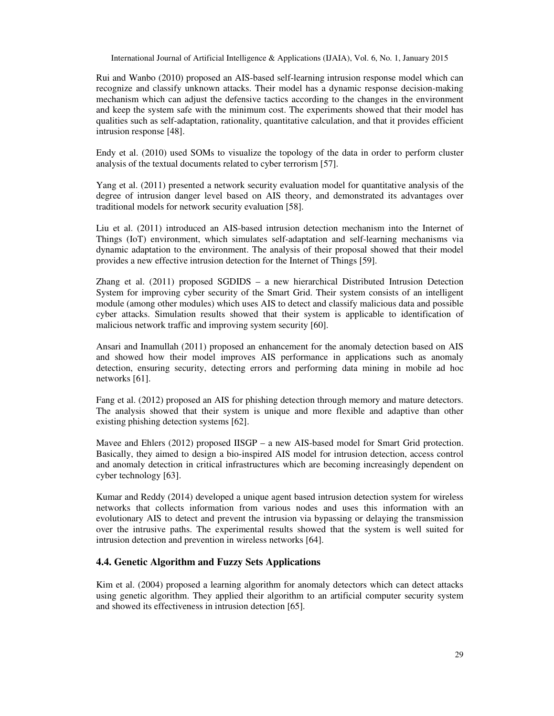Rui and Wanbo (2010) proposed an AIS-based self-learning intrusion response model which can recognize and classify unknown attacks. Their model has a dynamic response decision-making mechanism which can adjust the defensive tactics according to the changes in the environment and keep the system safe with the minimum cost. The experiments showed that their model has qualities such as self-adaptation, rationality, quantitative calculation, and that it provides efficient intrusion response [48].

Endy et al. (2010) used SOMs to visualize the topology of the data in order to perform cluster analysis of the textual documents related to cyber terrorism [57].

Yang et al. (2011) presented a network security evaluation model for quantitative analysis of the degree of intrusion danger level based on AIS theory, and demonstrated its advantages over traditional models for network security evaluation [58].

Liu et al. (2011) introduced an AIS-based intrusion detection mechanism into the Internet of Things (IoT) environment, which simulates self-adaptation and self-learning mechanisms via dynamic adaptation to the environment. The analysis of their proposal showed that their model provides a new effective intrusion detection for the Internet of Things [59].

Zhang et al. (2011) proposed SGDIDS – a new hierarchical Distributed Intrusion Detection System for improving cyber security of the Smart Grid. Their system consists of an intelligent module (among other modules) which uses AIS to detect and classify malicious data and possible cyber attacks. Simulation results showed that their system is applicable to identification of malicious network traffic and improving system security [60].

Ansari and Inamullah (2011) proposed an enhancement for the anomaly detection based on AIS and showed how their model improves AIS performance in applications such as anomaly detection, ensuring security, detecting errors and performing data mining in mobile ad hoc networks [61].

Fang et al. (2012) proposed an AIS for phishing detection through memory and mature detectors. The analysis showed that their system is unique and more flexible and adaptive than other existing phishing detection systems [62].

Mavee and Ehlers (2012) proposed IISGP – a new AIS-based model for Smart Grid protection. Basically, they aimed to design a bio-inspired AIS model for intrusion detection, access control and anomaly detection in critical infrastructures which are becoming increasingly dependent on cyber technology [63].

Kumar and Reddy (2014) developed a unique agent based intrusion detection system for wireless networks that collects information from various nodes and uses this information with an evolutionary AIS to detect and prevent the intrusion via bypassing or delaying the transmission over the intrusive paths. The experimental results showed that the system is well suited for intrusion detection and prevention in wireless networks [64].

#### **4.4. Genetic Algorithm and Fuzzy Sets Applications**

Kim et al. (2004) proposed a learning algorithm for anomaly detectors which can detect attacks using genetic algorithm. They applied their algorithm to an artificial computer security system and showed its effectiveness in intrusion detection [65].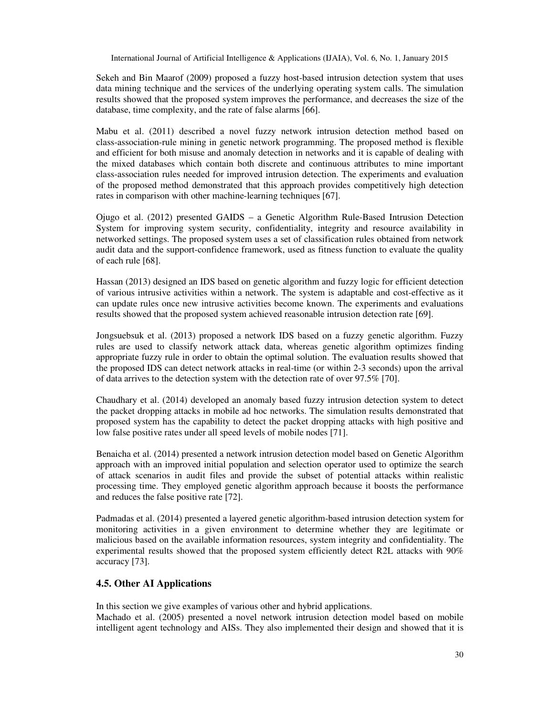Sekeh and Bin Maarof (2009) proposed a fuzzy host-based intrusion detection system that uses data mining technique and the services of the underlying operating system calls. The simulation results showed that the proposed system improves the performance, and decreases the size of the database, time complexity, and the rate of false alarms [66].

Mabu et al. (2011) described a novel fuzzy network intrusion detection method based on class-association-rule mining in genetic network programming. The proposed method is flexible and efficient for both misuse and anomaly detection in networks and it is capable of dealing with the mixed databases which contain both discrete and continuous attributes to mine important class-association rules needed for improved intrusion detection. The experiments and evaluation of the proposed method demonstrated that this approach provides competitively high detection rates in comparison with other machine-learning techniques [67].

Ojugo et al. (2012) presented GAIDS – a Genetic Algorithm Rule-Based Intrusion Detection System for improving system security, confidentiality, integrity and resource availability in networked settings. The proposed system uses a set of classification rules obtained from network audit data and the support-confidence framework, used as fitness function to evaluate the quality of each rule [68].

Hassan (2013) designed an IDS based on genetic algorithm and fuzzy logic for efficient detection of various intrusive activities within a network. The system is adaptable and cost-effective as it can update rules once new intrusive activities become known. The experiments and evaluations results showed that the proposed system achieved reasonable intrusion detection rate [69].

Jongsuebsuk et al. (2013) proposed a network IDS based on a fuzzy genetic algorithm. Fuzzy rules are used to classify network attack data, whereas genetic algorithm optimizes finding appropriate fuzzy rule in order to obtain the optimal solution. The evaluation results showed that the proposed IDS can detect network attacks in real-time (or within 2-3 seconds) upon the arrival of data arrives to the detection system with the detection rate of over 97.5% [70].

Chaudhary et al. (2014) developed an anomaly based fuzzy intrusion detection system to detect the packet dropping attacks in mobile ad hoc networks. The simulation results demonstrated that proposed system has the capability to detect the packet dropping attacks with high positive and low false positive rates under all speed levels of mobile nodes [71].

Benaicha et al. (2014) presented a network intrusion detection model based on Genetic Algorithm approach with an improved initial population and selection operator used to optimize the search of attack scenarios in audit files and provide the subset of potential attacks within realistic processing time. They employed genetic algorithm approach because it boosts the performance and reduces the false positive rate [72].

Padmadas et al. (2014) presented a layered genetic algorithm-based intrusion detection system for monitoring activities in a given environment to determine whether they are legitimate or malicious based on the available information resources, system integrity and confidentiality. The experimental results showed that the proposed system efficiently detect R2L attacks with 90% accuracy [73].

#### **4.5. Other AI Applications**

In this section we give examples of various other and hybrid applications.

Machado et al. (2005) presented a novel network intrusion detection model based on mobile intelligent agent technology and AISs. They also implemented their design and showed that it is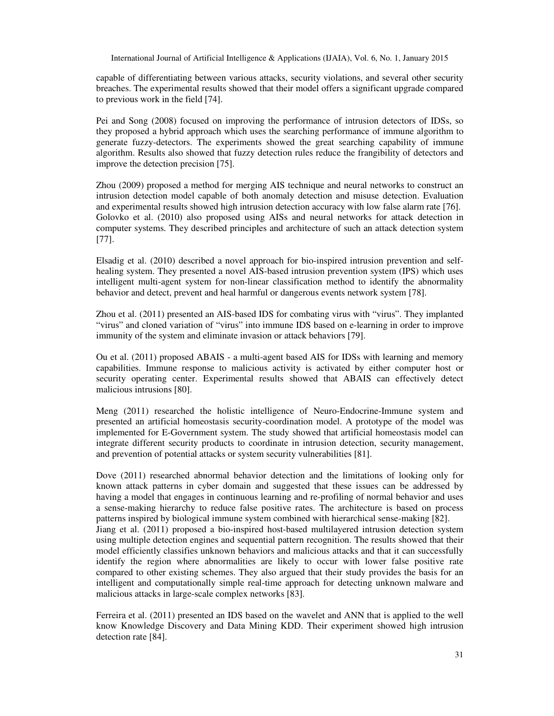capable of differentiating between various attacks, security violations, and several other security breaches. The experimental results showed that their model offers a significant upgrade compared to previous work in the field [74].

Pei and Song (2008) focused on improving the performance of intrusion detectors of IDSs, so they proposed a hybrid approach which uses the searching performance of immune algorithm to generate fuzzy-detectors. The experiments showed the great searching capability of immune algorithm. Results also showed that fuzzy detection rules reduce the frangibility of detectors and improve the detection precision [75].

Zhou (2009) proposed a method for merging AIS technique and neural networks to construct an intrusion detection model capable of both anomaly detection and misuse detection. Evaluation and experimental results showed high intrusion detection accuracy with low false alarm rate [76]. Golovko et al. (2010) also proposed using AISs and neural networks for attack detection in computer systems. They described principles and architecture of such an attack detection system [77].

Elsadig et al. (2010) described a novel approach for bio-inspired intrusion prevention and selfhealing system. They presented a novel AIS-based intrusion prevention system (IPS) which uses intelligent multi-agent system for non-linear classification method to identify the abnormality behavior and detect, prevent and heal harmful or dangerous events network system [78].

Zhou et al. (2011) presented an AIS-based IDS for combating virus with "virus". They implanted "virus" and cloned variation of "virus" into immune IDS based on e-learning in order to improve immunity of the system and eliminate invasion or attack behaviors [79].

Ou et al. (2011) proposed ABAIS - a multi-agent based AIS for IDSs with learning and memory capabilities. Immune response to malicious activity is activated by either computer host or security operating center. Experimental results showed that ABAIS can effectively detect malicious intrusions [80].

Meng (2011) researched the holistic intelligence of Neuro-Endocrine-Immune system and presented an artificial homeostasis security-coordination model. A prototype of the model was implemented for E-Government system. The study showed that artificial homeostasis model can integrate different security products to coordinate in intrusion detection, security management, and prevention of potential attacks or system security vulnerabilities [81].

Dove (2011) researched abnormal behavior detection and the limitations of looking only for known attack patterns in cyber domain and suggested that these issues can be addressed by having a model that engages in continuous learning and re-profiling of normal behavior and uses a sense-making hierarchy to reduce false positive rates. The architecture is based on process patterns inspired by biological immune system combined with hierarchical sense-making [82].

Jiang et al. (2011) proposed a bio-inspired host-based multilayered intrusion detection system using multiple detection engines and sequential pattern recognition. The results showed that their model efficiently classifies unknown behaviors and malicious attacks and that it can successfully identify the region where abnormalities are likely to occur with lower false positive rate compared to other existing schemes. They also argued that their study provides the basis for an intelligent and computationally simple real-time approach for detecting unknown malware and malicious attacks in large-scale complex networks [83].

Ferreira et al. (2011) presented an IDS based on the wavelet and ANN that is applied to the well know Knowledge Discovery and Data Mining KDD. Their experiment showed high intrusion detection rate [84].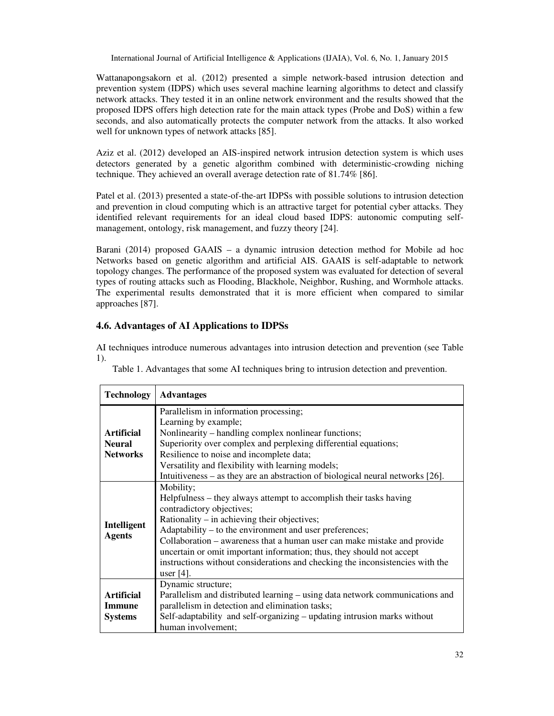Wattanapongsakorn et al. (2012) presented a simple network-based intrusion detection and prevention system (IDPS) which uses several machine learning algorithms to detect and classify network attacks. They tested it in an online network environment and the results showed that the proposed IDPS offers high detection rate for the main attack types (Probe and DoS) within a few seconds, and also automatically protects the computer network from the attacks. It also worked well for unknown types of network attacks [85].

Aziz et al. (2012) developed an AIS-inspired network intrusion detection system is which uses detectors generated by a genetic algorithm combined with deterministic-crowding niching technique. They achieved an overall average detection rate of 81.74% [86].

Patel et al. (2013) presented a state-of-the-art IDPSs with possible solutions to intrusion detection and prevention in cloud computing which is an attractive target for potential cyber attacks. They identified relevant requirements for an ideal cloud based IDPS: autonomic computing selfmanagement, ontology, risk management, and fuzzy theory [24].

Barani (2014) proposed GAAIS – a dynamic intrusion detection method for Mobile ad hoc Networks based on genetic algorithm and artificial AIS. GAAIS is self-adaptable to network topology changes. The performance of the proposed system was evaluated for detection of several types of routing attacks such as Flooding, Blackhole, Neighbor, Rushing, and Wormhole attacks. The experimental results demonstrated that it is more efficient when compared to similar approaches [87].

## **4.6. Advantages of AI Applications to IDPSs**

AI techniques introduce numerous advantages into intrusion detection and prevention (see Table 1).

Table 1. Advantages that some AI techniques bring to intrusion detection and prevention.

| <b>Technology</b>                                     | <b>Advantages</b>                                                                                                                                                                                                                                                                                                                                                                                                                                                             |
|-------------------------------------------------------|-------------------------------------------------------------------------------------------------------------------------------------------------------------------------------------------------------------------------------------------------------------------------------------------------------------------------------------------------------------------------------------------------------------------------------------------------------------------------------|
| <b>Artificial</b><br><b>Neural</b><br><b>Networks</b> | Parallelism in information processing;<br>Learning by example;<br>Nonlinearity – handling complex nonlinear functions;<br>Superiority over complex and perplexing differential equations;<br>Resilience to noise and incomplete data;<br>Versatility and flexibility with learning models;<br>Intuitiveness – as they are an abstraction of biological neural networks $[26]$ .                                                                                               |
| Intelligent<br><b>Agents</b>                          | Mobility;<br>Helpfulness – they always attempt to accomplish their tasks having<br>contradictory objectives;<br>Rationality – in achieving their objectives;<br>Adaptability – to the environment and user preferences;<br>Collaboration – awareness that a human user can make mistake and provide<br>uncertain or omit important information; thus, they should not accept<br>instructions without considerations and checking the inconsistencies with the<br>user $[4]$ . |
| Artificial<br>Immune<br><b>Systems</b>                | Dynamic structure;<br>Parallelism and distributed learning – using data network communications and<br>parallelism in detection and elimination tasks;<br>Self-adaptability and self-organizing – updating intrusion marks without<br>human involvement;                                                                                                                                                                                                                       |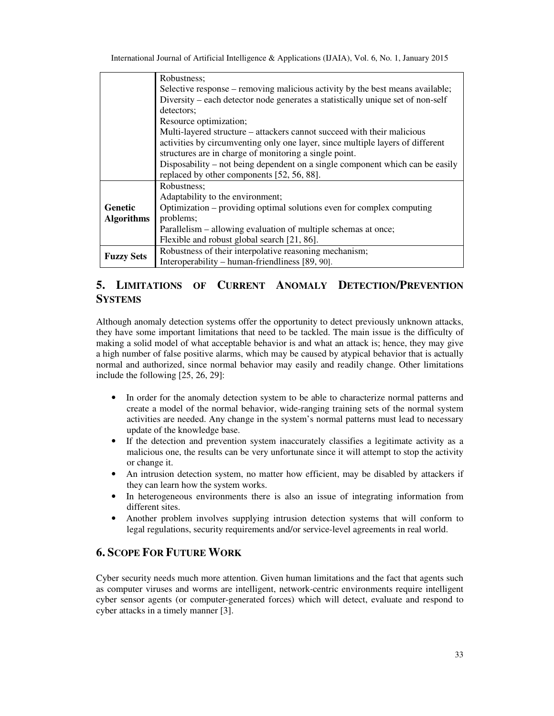|                   | Robustness:                                                                     |
|-------------------|---------------------------------------------------------------------------------|
|                   | Selective response – removing malicious activity by the best means available;   |
|                   | Diversity – each detector node generates a statistically unique set of non-self |
|                   | detectors;                                                                      |
|                   | Resource optimization;                                                          |
|                   | Multi-layered structure – attackers cannot succeed with their malicious         |
|                   | activities by circumventing only one layer, since multiple layers of different  |
|                   | structures are in charge of monitoring a single point.                          |
|                   | Disposability – not being dependent on a single component which can be easily   |
|                   | replaced by other components [52, 56, 88].                                      |
|                   | Robustness;                                                                     |
|                   | Adaptability to the environment;                                                |
| <b>Genetic</b>    | Optimization – providing optimal solutions even for complex computing           |
| <b>Algorithms</b> | problems;                                                                       |
|                   | Parallelism – allowing evaluation of multiple schemas at once;                  |
|                   | Flexible and robust global search [21, 86].                                     |
| <b>Fuzzy Sets</b> | Robustness of their interpolative reasoning mechanism;                          |
|                   | Interoperability – human-friendliness [89, 90].                                 |

## **5. LIMITATIONS OF CURRENT ANOMALY DETECTION/PREVENTION SYSTEMS**

Although anomaly detection systems offer the opportunity to detect previously unknown attacks, they have some important limitations that need to be tackled. The main issue is the difficulty of making a solid model of what acceptable behavior is and what an attack is; hence, they may give a high number of false positive alarms, which may be caused by atypical behavior that is actually normal and authorized, since normal behavior may easily and readily change. Other limitations include the following [25, 26, 29]:

- In order for the anomaly detection system to be able to characterize normal patterns and create a model of the normal behavior, wide-ranging training sets of the normal system activities are needed. Any change in the system's normal patterns must lead to necessary update of the knowledge base.
- If the detection and prevention system inaccurately classifies a legitimate activity as a malicious one, the results can be very unfortunate since it will attempt to stop the activity or change it.
- An intrusion detection system, no matter how efficient, may be disabled by attackers if they can learn how the system works.
- In heterogeneous environments there is also an issue of integrating information from different sites.
- Another problem involves supplying intrusion detection systems that will conform to legal regulations, security requirements and/or service-level agreements in real world.

## **6. SCOPE FOR FUTURE WORK**

Cyber security needs much more attention. Given human limitations and the fact that agents such as computer viruses and worms are intelligent, network-centric environments require intelligent cyber sensor agents (or computer-generated forces) which will detect, evaluate and respond to cyber attacks in a timely manner [3].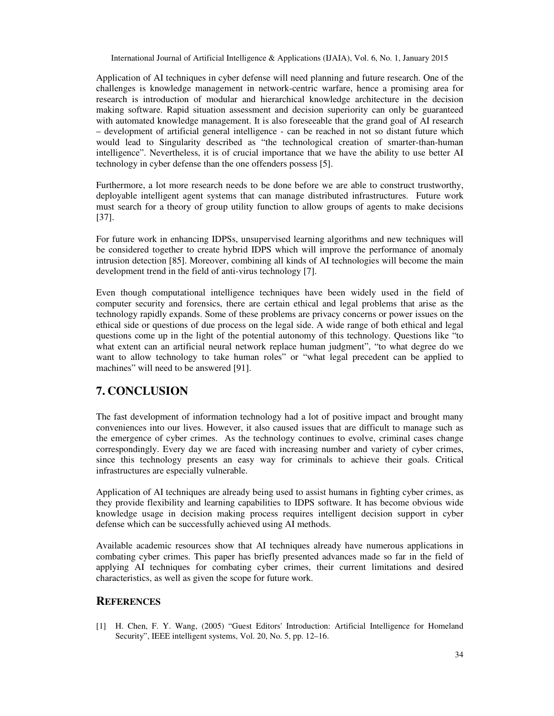Application of AI techniques in cyber defense will need planning and future research. One of the challenges is knowledge management in network-centric warfare, hence a promising area for research is introduction of modular and hierarchical knowledge architecture in the decision making software. Rapid situation assessment and decision superiority can only be guaranteed with automated knowledge management. It is also foreseeable that the grand goal of AI research – development of artificial general intelligence - can be reached in not so distant future which would lead to Singularity described as "the technological creation of smarter-than-human intelligence". Nevertheless, it is of crucial importance that we have the ability to use better AI technology in cyber defense than the one offenders possess [5].

Furthermore, a lot more research needs to be done before we are able to construct trustworthy, deployable intelligent agent systems that can manage distributed infrastructures. Future work must search for a theory of group utility function to allow groups of agents to make decisions [37].

For future work in enhancing IDPSs, unsupervised learning algorithms and new techniques will be considered together to create hybrid IDPS which will improve the performance of anomaly intrusion detection [85]. Moreover, combining all kinds of AI technologies will become the main development trend in the field of anti-virus technology [7].

Even though computational intelligence techniques have been widely used in the field of computer security and forensics, there are certain ethical and legal problems that arise as the technology rapidly expands. Some of these problems are privacy concerns or power issues on the ethical side or questions of due process on the legal side. A wide range of both ethical and legal questions come up in the light of the potential autonomy of this technology. Questions like "to what extent can an artificial neural network replace human judgment", "to what degree do we want to allow technology to take human roles" or "what legal precedent can be applied to machines" will need to be answered [91].

## **7. CONCLUSION**

The fast development of information technology had a lot of positive impact and brought many conveniences into our lives. However, it also caused issues that are difficult to manage such as the emergence of cyber crimes. As the technology continues to evolve, criminal cases change correspondingly. Every day we are faced with increasing number and variety of cyber crimes, since this technology presents an easy way for criminals to achieve their goals. Critical infrastructures are especially vulnerable.

Application of AI techniques are already being used to assist humans in fighting cyber crimes, as they provide flexibility and learning capabilities to IDPS software. It has become obvious wide knowledge usage in decision making process requires intelligent decision support in cyber defense which can be successfully achieved using AI methods.

Available academic resources show that AI techniques already have numerous applications in combating cyber crimes. This paper has briefly presented advances made so far in the field of applying AI techniques for combating cyber crimes, their current limitations and desired characteristics, as well as given the scope for future work.

### **REFERENCES**

[1] H. Chen, F. Y. Wang, (2005) "Guest Editors' Introduction: Artificial Intelligence for Homeland Security", IEEE intelligent systems, Vol. 20, No. 5, pp. 12–16.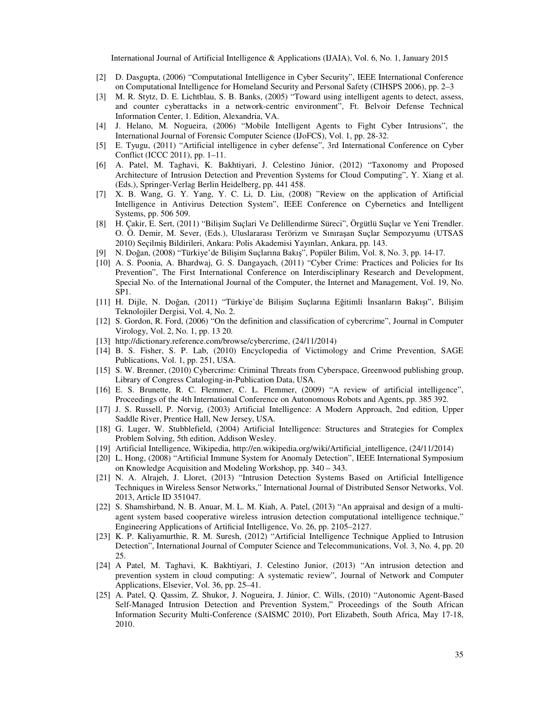- [2] D. Dasgupta, (2006) "Computational Intelligence in Cyber Security", IEEE International Conference on Computational Intelligence for Homeland Security and Personal Safety (CIHSPS 2006), pp. 2–3
- [3] M. R. Stytz, D. E. Lichtblau, S. B. Banks, (2005) "Toward using intelligent agents to detect, assess, and counter cyberattacks in a network-centric environment", Ft. Belvoir Defense Technical Information Center, 1. Edition, Alexandria, VA.
- [4] J. Helano, M. Nogueira, (2006) "Mobile Intelligent Agents to Fight Cyber Intrusions", the International Journal of Forensic Computer Science (IJoFCS), Vol. 1, pp. 28-32.
- [5] E. Tyugu, (2011) "Artificial intelligence in cyber defense", 3rd International Conference on Cyber Conflict (ICCC 2011), pp. 1–11.
- [6] A. Patel, M. Taghavi, K. Bakhtiyari, J. Celestino Júnior, (2012) "Taxonomy and Proposed Architecture of Intrusion Detection and Prevention Systems for Cloud Computing", Y. Xiang et al. (Eds.), Springer-Verlag Berlin Heidelberg, pp. 441 458.
- [7] X. B. Wang, G. Y. Yang, Y. C. Li, D. Liu, (2008) "Review on the application of Artificial Intelligence in Antivirus Detection System", IEEE Conference on Cybernetics and Intelligent Systems, pp. 506 509.
- [8] H. Çakir, E. Sert, (2011) "Bilişim Suçlari Ve Delillendirme Süreci", Örgütlü Suçlar ve Yeni Trendler. O. Ö. Demir, M. Sever, (Eds.), Uluslararası Terörizm ve Sınıraşan Suçlar Sempozyumu (UTSAS 2010) Seçilmiş Bildirileri, Ankara: Polis Akademisi Yayınları, Ankara, pp. 143.
- [9] N. Doğan, (2008) "Türkiye'de Bilişim Suçlarına Bakış", Popüler Bilim, Vol. 8, No. 3, pp. 14-17.
- [10] A. S. Poonia, A. Bhardwaj, G. S. Dangayach, (2011) "Cyber Crime: Practices and Policies for Its Prevention", The First International Conference on Interdisciplinary Research and Development, Special No. of the International Journal of the Computer, the Internet and Management, Vol. 19, No. SP1.
- [11] H. Dijle, N. Doğan, (2011) "Türkiye'de Bilişim Suçlarına Eğitimli İnsanların Bakışı", Bilişim Teknolojiler Dergisi, Vol. 4, No. 2.
- [12] S. Gordon, R. Ford, (2006) "On the definition and classification of cybercrime", Journal in Computer Virology, Vol. 2, No. 1, pp. 13 20.
- [13] http://dictionary.reference.com/browse/cybercrime,  $(24/11/2014)$
- [14] B. S. Fisher, S. P. Lab, (2010) Encyclopedia of Victimology and Crime Prevention, SAGE Publications, Vol. 1, pp. 251, USA.
- [15] S. W. Brenner, (2010) Cybercrime: Criminal Threats from Cyberspace, Greenwood publishing group, Library of Congress Cataloging-in-Publication Data, USA.
- [16] E. S. Brunette, R. C. Flemmer, C. L. Flemmer, (2009) "A review of artificial intelligence", Proceedings of the 4th International Conference on Autonomous Robots and Agents, pp. 385 392.
- [17] J. S. Russell, P. Norvig, (2003) Artificial Intelligence: A Modern Approach, 2nd edition, Upper Saddle River, Prentice Hall, New Jersey, USA.
- [18] G. Luger, W. Stubblefield, (2004) Artificial Intelligence: Structures and Strategies for Complex Problem Solving, 5th edition, Addison Wesley.
- [19] Artificial Intelligence, Wikipedia, http://en.wikipedia.org/wiki/Artificial\_intelligence, (24/11/2014)
- [20] L. Hong, (2008) "Artificial Immune System for Anomaly Detection", IEEE International Symposium on Knowledge Acquisition and Modeling Workshop, pp. 340 – 343.
- [21] N. A. Alrajeh, J. Lloret, (2013) "Intrusion Detection Systems Based on Artificial Intelligence Techniques in Wireless Sensor Networks," International Journal of Distributed Sensor Networks, Vol. 2013, Article ID 351047.
- [22] S. Shamshirband, N. B. Anuar, M. L. M. Kiah, A. Patel, (2013) "An appraisal and design of a multiagent system based cooperative wireless intrusion detection computational intelligence technique," Engineering Applications of Artificial Intelligence, Vo. 26, pp. 2105–2127.
- [23] K. P. Kaliyamurthie, R. M. Suresh, (2012) "Artificial Intelligence Technique Applied to Intrusion Detection", International Journal of Computer Science and Telecommunications, Vol. 3, No. 4, pp. 20 25.
- [24] A Patel, M. Taghavi, K. Bakhtiyari, J. Celestino Junior, (2013) "An intrusion detection and prevention system in cloud computing: A systematic review", Journal of Network and Computer Applications, Elsevier, Vol. 36, pp. 25–41.
- [25] A. Patel, Q. Qassim, Z. Shukor, J. Nogueira, J. Júnior, C. Wills, (2010) "Autonomic Agent-Based Self-Managed Intrusion Detection and Prevention System," Proceedings of the South African Information Security Multi-Conference (SAISMC 2010), Port Elizabeth, South Africa, May 17-18, 2010.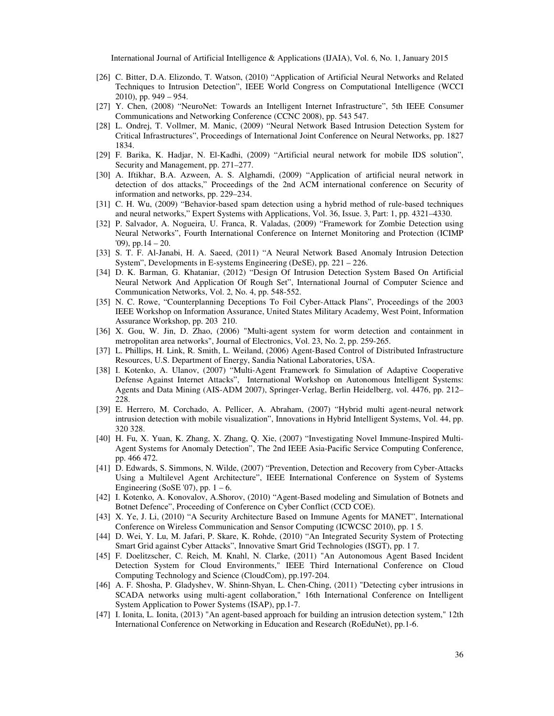- [26] C. Bitter, D.A. Elizondo, T. Watson, (2010) "Application of Artificial Neural Networks and Related Techniques to Intrusion Detection", IEEE World Congress on Computational Intelligence (WCCI 2010), pp. 949 – 954.
- [27] Y. Chen, (2008) "NeuroNet: Towards an Intelligent Internet Infrastructure", 5th IEEE Consumer Communications and Networking Conference (CCNC 2008), pp. 543 547.
- [28] L. Ondrej, T. Vollmer, M. Manic, (2009) "Neural Network Based Intrusion Detection System for Critical Infrastructures", Proceedings of International Joint Conference on Neural Networks, pp. 1827 1834.
- [29] F. Barika, K. Hadjar, N. El-Kadhi, (2009) "Artificial neural network for mobile IDS solution", Security and Management, pp. 271–277.
- [30] A. Iftikhar, B.A. Azween, A. S. Alghamdi, (2009) "Application of artificial neural network in detection of dos attacks," Proceedings of the 2nd ACM international conference on Security of information and networks, pp. 229–234.
- [31] C. H. Wu, (2009) "Behavior-based spam detection using a hybrid method of rule-based techniques and neural networks," Expert Systems with Applications, Vol. 36, Issue. 3, Part: 1, pp. 4321–4330.
- [32] P. Salvador, A. Nogueira, U. Franca, R. Valadas, (2009) "Framework for Zombie Detection using Neural Networks", Fourth International Conference on Internet Monitoring and Protection (ICIMP '09), pp.14 – 20.
- [33] S. T. F. Al-Janabi, H. A. Saeed, (2011) "A Neural Network Based Anomaly Intrusion Detection System", Developments in E-systems Engineering (DeSE), pp. 221 – 226.
- [34] D. K. Barman, G. Khataniar, (2012) "Design Of Intrusion Detection System Based On Artificial Neural Network And Application Of Rough Set", International Journal of Computer Science and Communication Networks, Vol. 2, No. 4, pp. 548-552.
- [35] N. C. Rowe, "Counterplanning Deceptions To Foil Cyber-Attack Plans", Proceedings of the 2003 IEEE Workshop on Information Assurance, United States Military Academy, West Point, Information Assurance Workshop, pp. 203 210.
- [36] X. Gou, W. Jin, D. Zhao, (2006) "Multi-agent system for worm detection and containment in metropolitan area networks", Journal of Electronics, Vol. 23, No. 2, pp. 259-265.
- [37] L. Phillips, H. Link, R. Smith, L. Weiland, (2006) Agent-Based Control of Distributed Infrastructure Resources, U.S. Department of Energy, Sandia National Laboratories, USA.
- [38] I. Kotenko, A. Ulanov, (2007) "Multi-Agent Framework fo Simulation of Adaptive Cooperative Defense Against Internet Attacks", International Workshop on Autonomous Intelligent Systems: Agents and Data Mining (AIS-ADM 2007), Springer-Verlag, Berlin Heidelberg, vol. 4476, pp. 212– 228.
- [39] E. Herrero, M. Corchado, A. Pellicer, A. Abraham, (2007) "Hybrid multi agent-neural network intrusion detection with mobile visualization", Innovations in Hybrid Intelligent Systems, Vol. 44, pp. 320 328.
- [40] H. Fu, X. Yuan, K. Zhang, X. Zhang, Q. Xie, (2007) "Investigating Novel Immune-Inspired Multi-Agent Systems for Anomaly Detection", The 2nd IEEE Asia-Pacific Service Computing Conference, pp. 466 472.
- [41] D. Edwards, S. Simmons, N. Wilde, (2007) "Prevention, Detection and Recovery from Cyber-Attacks Using a Multilevel Agent Architecture", IEEE International Conference on System of Systems Engineering (SoSE '07), pp.  $1 - 6$ .
- [42] I. Kotenko, A. Konovalov, A.Shorov, (2010) "Agent-Based modeling and Simulation of Botnets and Botnet Defence", Proceeding of Conference on Cyber Conflict (CCD COE).
- [43] X. Ye, J. Li, (2010) "A Security Architecture Based on Immune Agents for MANET", International Conference on Wireless Communication and Sensor Computing (ICWCSC 2010), pp. 1 5.
- [44] D. Wei, Y. Lu, M. Jafari, P. Skare, K. Rohde, (2010) "An Integrated Security System of Protecting Smart Grid against Cyber Attacks", Innovative Smart Grid Technologies (ISGT), pp. 1 7.
- [45] F. Doelitzscher, C. Reich, M. Knahl, N. Clarke, (2011) "An Autonomous Agent Based Incident Detection System for Cloud Environments," IEEE Third International Conference on Cloud Computing Technology and Science (CloudCom), pp.197-204.
- [46] A. F. Shosha, P. Gladyshev, W. Shinn-Shyan, L. Chen-Ching, (2011) "Detecting cyber intrusions in SCADA networks using multi-agent collaboration," 16th International Conference on Intelligent System Application to Power Systems (ISAP), pp.1-7.
- [47] I. Ionita, L. Ionita, (2013) "An agent-based approach for building an intrusion detection system," 12th International Conference on Networking in Education and Research (RoEduNet), pp.1-6.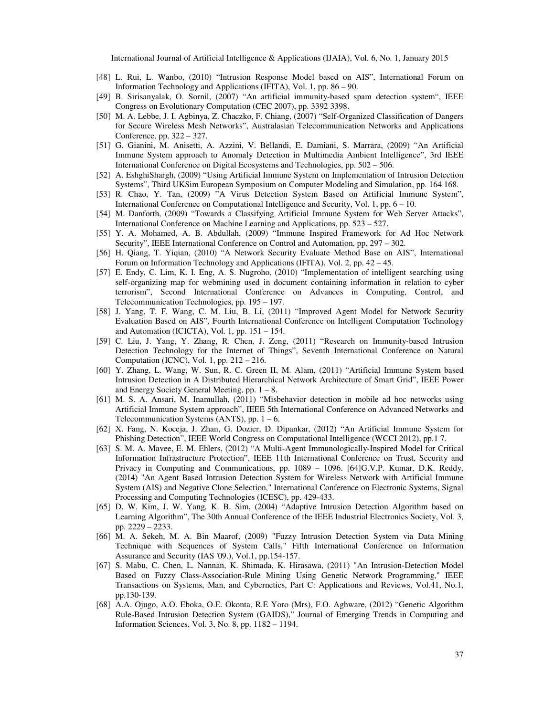- [48] L. Rui, L. Wanbo, (2010) "Intrusion Response Model based on AIS", International Forum on Information Technology and Applications (IFITA), Vol. 1, pp. 86 – 90.
- [49] B. Sirisanyalak, O. Sornil, (2007) "An artificial immunity-based spam detection system", IEEE Congress on Evolutionary Computation (CEC 2007), pp. 3392 3398.
- [50] M. A. Lebbe, J. I. Agbinya, Z. Chaczko, F. Chiang, (2007) "Self-Organized Classification of Dangers for Secure Wireless Mesh Networks", Australasian Telecommunication Networks and Applications Conference, pp. 322 – 327.
- [51] G. Gianini, M. Anisetti, A. Azzini, V. Bellandi, E. Damiani, S. Marrara, (2009) "An Artificial Immune System approach to Anomaly Detection in Multimedia Ambient Intelligence", 3rd IEEE International Conference on Digital Ecosystems and Technologies, pp. 502 – 506.
- [52] A. EshghiShargh, (2009) "Using Artificial Immune System on Implementation of Intrusion Detection Systems", Third UKSim European Symposium on Computer Modeling and Simulation, pp. 164 168.
- [53] R. Chao, Y. Tan, (2009) "A Virus Detection System Based on Artificial Immune System", International Conference on Computational Intelligence and Security, Vol. 1, pp. 6 – 10.
- [54] M. Danforth, (2009) "Towards a Classifying Artificial Immune System for Web Server Attacks", International Conference on Machine Learning and Applications, pp. 523 – 527.
- [55] Y. A. Mohamed, A. B. Abdullah, (2009) "Immune Inspired Framework for Ad Hoc Network Security", IEEE International Conference on Control and Automation, pp. 297 – 302.
- [56] H. Qiang, T. Yiqian, (2010) "A Network Security Evaluate Method Base on AIS", International Forum on Information Technology and Applications (IFITA), Vol. 2, pp. 42 – 45.
- [57] E. Endy, C. Lim, K. I. Eng, A. S. Nugroho, (2010) "Implementation of intelligent searching using self-organizing map for webmining used in document containing information in relation to cyber terrorism", Second International Conference on Advances in Computing, Control, and Telecommunication Technologies, pp. 195 – 197.
- [58] J. Yang, T. F. Wang, C. M. Liu, B. Li, (2011) "Improved Agent Model for Network Security Evaluation Based on AIS", Fourth International Conference on Intelligent Computation Technology and Automation (ICICTA), Vol. 1, pp. 151 – 154.
- [59] C. Liu, J. Yang, Y. Zhang, R. Chen, J. Zeng, (2011) "Research on Immunity-based Intrusion Detection Technology for the Internet of Things", Seventh International Conference on Natural Computation (ICNC), Vol. 1, pp. 212 – 216.
- [60] Y. Zhang, L. Wang, W. Sun, R. C. Green II, M. Alam, (2011) "Artificial Immune System based Intrusion Detection in A Distributed Hierarchical Network Architecture of Smart Grid", IEEE Power and Energy Society General Meeting, pp.  $1 - 8$ .
- [61] M. S. A. Ansari, M. Inamullah, (2011) "Misbehavior detection in mobile ad hoc networks using Artificial Immune System approach", IEEE 5th International Conference on Advanced Networks and Telecommunication Systems (ANTS), pp.  $1 - 6$ .
- [62] X. Fang, N. Koceja, J. Zhan, G. Dozier, D. Dipankar, (2012) "An Artificial Immune System for Phishing Detection", IEEE World Congress on Computational Intelligence (WCCI 2012), pp.1 7.
- [63] S. M. A. Mavee, E. M. Ehlers, (2012) "A Multi-Agent Immunologically-Inspired Model for Critical Information Infrastructure Protection", IEEE 11th International Conference on Trust, Security and Privacy in Computing and Communications, pp. 1089 – 1096. [64]G.V.P. Kumar, D.K. Reddy, (2014) "An Agent Based Intrusion Detection System for Wireless Network with Artificial Immune System (AIS) and Negative Clone Selection," International Conference on Electronic Systems, Signal Processing and Computing Technologies (ICESC), pp. 429-433.
- [65] D. W. Kim, J. W. Yang, K. B. Sim, (2004) "Adaptive Intrusion Detection Algorithm based on Learning Algorithm", The 30th Annual Conference of the IEEE Industrial Electronics Society, Vol. 3, pp. 2229 – 2233.
- [66] M. A. Sekeh, M. A. Bin Maarof, (2009) "Fuzzy Intrusion Detection System via Data Mining Technique with Sequences of System Calls," Fifth International Conference on Information Assurance and Security (IAS '09.), Vol.1, pp.154-157.
- [67] S. Mabu, C. Chen, L. Nannan, K. Shimada, K. Hirasawa, (2011) "An Intrusion-Detection Model Based on Fuzzy Class-Association-Rule Mining Using Genetic Network Programming," IEEE Transactions on Systems, Man, and Cybernetics, Part C: Applications and Reviews, Vol.41, No.1, pp.130-139.
- [68] A.A. Ojugo, A.O. Eboka, O.E. Okonta, R.E Yoro (Mrs), F.O. Aghware, (2012) "Genetic Algorithm Rule-Based Intrusion Detection System (GAIDS)," Journal of Emerging Trends in Computing and Information Sciences, Vol. 3, No. 8, pp. 1182 – 1194.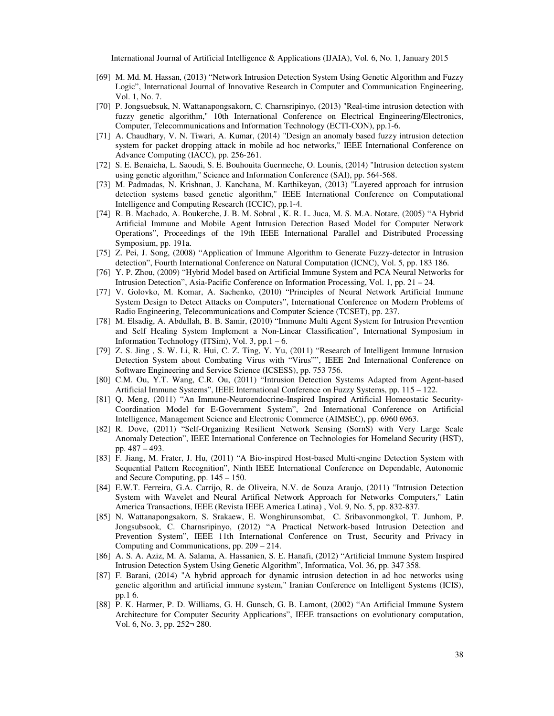- [69] M. Md. M. Hassan, (2013) "Network Intrusion Detection System Using Genetic Algorithm and Fuzzy Logic", International Journal of Innovative Research in Computer and Communication Engineering, Vol. 1, No. 7.
- [70] P. Jongsuebsuk, N. Wattanapongsakorn, C. Charnsripinyo, (2013) "Real-time intrusion detection with fuzzy genetic algorithm," 10th International Conference on Electrical Engineering/Electronics, Computer, Telecommunications and Information Technology (ECTI-CON), pp.1-6.
- [71] A. Chaudhary, V. N. Tiwari, A. Kumar, (2014) "Design an anomaly based fuzzy intrusion detection system for packet dropping attack in mobile ad hoc networks," IEEE International Conference on Advance Computing (IACC), pp. 256-261.
- [72] S. E. Benaicha, L. Saoudi, S. E. Bouhouita Guermeche, O. Lounis, (2014) "Intrusion detection system using genetic algorithm," Science and Information Conference (SAI), pp. 564-568.
- [73] M. Padmadas, N. Krishnan, J. Kanchana, M. Karthikeyan, (2013) "Layered approach for intrusion detection systems based genetic algorithm," IEEE International Conference on Computational Intelligence and Computing Research (ICCIC), pp.1-4.
- [74] R. B. Machado, A. Boukerche, J. B. M. Sobral , K. R. L. Juca, M. S. M.A. Notare, (2005) "A Hybrid Artificial Immune and Mobile Agent Intrusion Detection Based Model for Computer Network Operations", Proceedings of the 19th IEEE International Parallel and Distributed Processing Symposium, pp. 191a.
- [75] Z. Pei, J. Song, (2008) "Application of Immune Algorithm to Generate Fuzzy-detector in Intrusion detection", Fourth International Conference on Natural Computation (ICNC), Vol. 5, pp. 183 186.
- [76] Y. P. Zhou, (2009) "Hybrid Model based on Artificial Immune System and PCA Neural Networks for Intrusion Detection", Asia-Pacific Conference on Information Processing, Vol. 1, pp. 21 – 24.
- [77] V. Golovko, M. Komar, A. Sachenko, (2010) "Principles of Neural Network Artificial Immune System Design to Detect Attacks on Computers", International Conference on Modern Problems of Radio Engineering, Telecommunications and Computer Science (TCSET), pp. 237.
- [78] M. Elsadig, A. Abdullah, B. B. Samir, (2010) "Immune Multi Agent System for Intrusion Prevention and Self Healing System Implement a Non-Linear Classification", International Symposium in Information Technology (ITSim), Vol. 3,  $pp.1 - 6$ .
- [79] Z. S. Jing , S. W. Li, R. Hui, C. Z. Ting, Y. Yu, (2011) "Research of Intelligent Immune Intrusion Detection System about Combating Virus with "Virus"", IEEE 2nd International Conference on Software Engineering and Service Science (ICSESS), pp. 753 756.
- [80] C.M. Ou, Y.T. Wang, C.R. Ou, (2011) "Intrusion Detection Systems Adapted from Agent-based Artificial Immune Systems", IEEE International Conference on Fuzzy Systems, pp. 115 – 122.
- [81] Q. Meng, (2011) "An Immune-Neuroendocrine-Inspired Inspired Artificial Homeostatic Security-Coordination Model for E-Government System", 2nd International Conference on Artificial Intelligence, Management Science and Electronic Commerce (AIMSEC), pp. 6960 6963.
- [82] R. Dove, (2011) "Self-Organizing Resilient Network Sensing (SornS) with Very Large Scale Anomaly Detection", IEEE International Conference on Technologies for Homeland Security (HST), pp. 487 – 493.
- [83] F. Jiang, M. Frater, J. Hu, (2011) "A Bio-inspired Host-based Multi-engine Detection System with Sequential Pattern Recognition", Ninth IEEE International Conference on Dependable, Autonomic and Secure Computing, pp. 145 – 150.
- [84] E.W.T. Ferreira, G.A. Carrijo, R. de Oliveira, N.V. de Souza Araujo, (2011) "Intrusion Detection System with Wavelet and Neural Artifical Network Approach for Networks Computers," Latin America Transactions, IEEE (Revista IEEE America Latina) , Vol. 9, No. 5, pp. 832-837.
- [85] N. Wattanapongsakorn, S. Srakaew, E. Wonghirunsombat, C. Sribavonmongkol, T. Junhom, P. Jongsubsook, C. Charnsripinyo, (2012) "A Practical Network-based Intrusion Detection and Prevention System", IEEE 11th International Conference on Trust, Security and Privacy in Computing and Communications, pp. 209 – 214.
- [86] A. S. A. Aziz, M. A. Salama, A. Hassanien, S. E. Hanafi, (2012) "Artificial Immune System Inspired Intrusion Detection System Using Genetic Algorithm", Informatica, Vol. 36, pp. 347 358.
- [87] F. Barani, (2014) "A hybrid approach for dynamic intrusion detection in ad hoc networks using genetic algorithm and artificial immune system," Iranian Conference on Intelligent Systems (ICIS), pp.1 6.
- [88] P. K. Harmer, P. D. Williams, G. H. Gunsch, G. B. Lamont, (2002) "An Artificial Immune System Architecture for Computer Security Applications", IEEE transactions on evolutionary computation, Vol. 6, No. 3, pp. 252¬ 280.